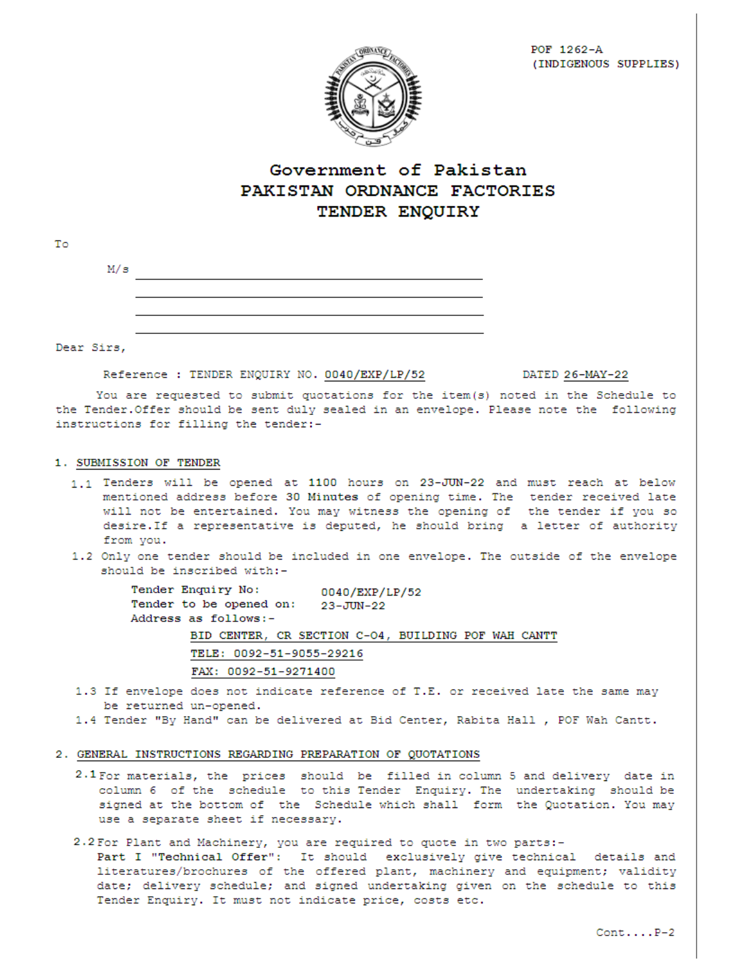

# Government of Pakistan PAKISTAN ORDNANCE FACTORIES TENDER ENQUIRY

| Τo           |     |  |
|--------------|-----|--|
|              | M/s |  |
|              |     |  |
|              |     |  |
|              |     |  |
| --<br>$\sim$ |     |  |

Dear Sirs,

Reference : TENDER ENQUIRY NO. 0040/EXP/LP/52

DATED 26-MAY-22

You are requested to submit quotations for the item(s) noted in the Schedule to the Tender. Offer should be sent duly sealed in an envelope. Please note the following instructions for filling the tender:-

#### 1. SUBMISSION OF TENDER

- 1.1 Tenders will be opened at 1100 hours on 23-JUN-22 and must reach at below mentioned address before 30 Minutes of opening time. The tender received late will not be entertained. You may witness the opening of the tender if you so desire. If a representative is deputed, he should bring a letter of authority from you.
- 1.2 Only one tender should be included in one envelope. The outside of the envelope should be inscribed with:-

Tender Enquiry No: 0040/EXP/LP/52 Tender to be opened on: 23-JUN-22 Address as follows:-BID CENTER, CR SECTION C-04, BUILDING POF WAH CANTT TELE: 0092-51-9055-29216 FAX: 0092-51-9271400

- 1.3 If envelope does not indicate reference of T.E. or received late the same may be returned un-opened.
- 1.4 Tender "By Hand" can be delivered at Bid Center, Rabita Hall , POF Wah Cantt.

#### 2. GENERAL INSTRUCTIONS REGARDING PREPARATION OF QUOTATIONS

- 2.1 For materials, the prices should be filled in column 5 and delivery date in column 6 of the schedule to this Tender Enquiry. The undertaking should be signed at the bottom of the Schedule which shall form the Quotation. You may use a separate sheet if necessary.
- 2.2 For Plant and Machinery, you are required to quote in two parts:-

Part I "Technical Offer": It should exclusively give technical details and literatures/brochures of the offered plant, machinery and equipment; validity date; delivery schedule; and signed undertaking given on the schedule to this Tender Enquiry. It must not indicate price, costs etc.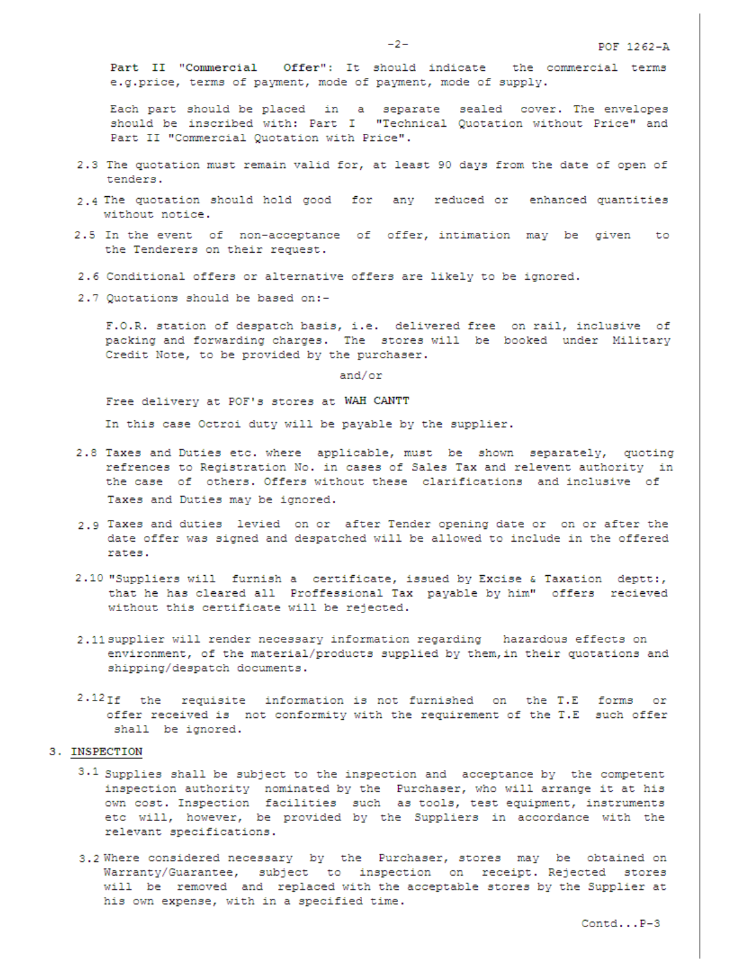Part II "Commercial Offer": It should indicate the commercial terms e.g.price, terms of payment, mode of payment, mode of supply.

Each part should be placed in a separate sealed cover. The envelopes should be inscribed with: Part I "Technical Quotation without Price" and Part II "Commercial Quotation with Price".

- 2.3 The quotation must remain valid for, at least 90 days from the date of open of tenders.
- 2.4 The quotation should hold good for any reduced or enhanced quantities without notice.
- 2.5 In the event of non-acceptance of offer, intimation may be given to the Tenderers on their request.
- 2.6 Conditional offers or alternative offers are likely to be ignored.
- 2.7 Quotations should be based on:-

F.O.R. station of despatch basis, i.e. delivered free on rail, inclusive of packing and forwarding charges. The stores will be booked under Military Credit Note, to be provided by the purchaser.

and/or

Free delivery at POF's stores at WAH CANTT

In this case Octroi duty will be payable by the supplier.

- 2.8 Taxes and Duties etc. where applicable, must be shown separately, quoting refrences to Registration No. in cases of Sales Tax and relevent authority in the case of others. Offers without these clarifications and inclusive of Taxes and Duties may be ignored.
- 2.9 Taxes and duties levied on or after Tender opening date or on or after the date offer was signed and despatched will be allowed to include in the offered rates.
- 2.10 "Suppliers will furnish a certificate, issued by Excise & Taxation deptt:, that he has cleared all Proffessional Tax payable by him" offers recieved without this certificate will be rejected.
- 2.11 supplier will render necessary information regarding hazardous effects on environment, of the material/products supplied by them, in their quotations and shipping/despatch documents.
- 2.12If the requisite information is not furnished on the T.E forms or offer received is not conformity with the requirement of the T.E such offer shall be ignored.

### 3. INSPECTION

- $3.1$  Supplies shall be subject to the inspection and acceptance by the competent inspection authority nominated by the Purchaser, who will arrange it at his own cost. Inspection facilities such as tools, test equipment, instruments etc will, however, be provided by the Suppliers in accordance with the relevant specifications.
- 3.2 Where considered necessary by the Purchaser, stores may be obtained on Warranty/Guarantee, subject to inspection on receipt. Rejected stores will be removed and replaced with the acceptable stores by the Supplier at his own expense, with in a specified time.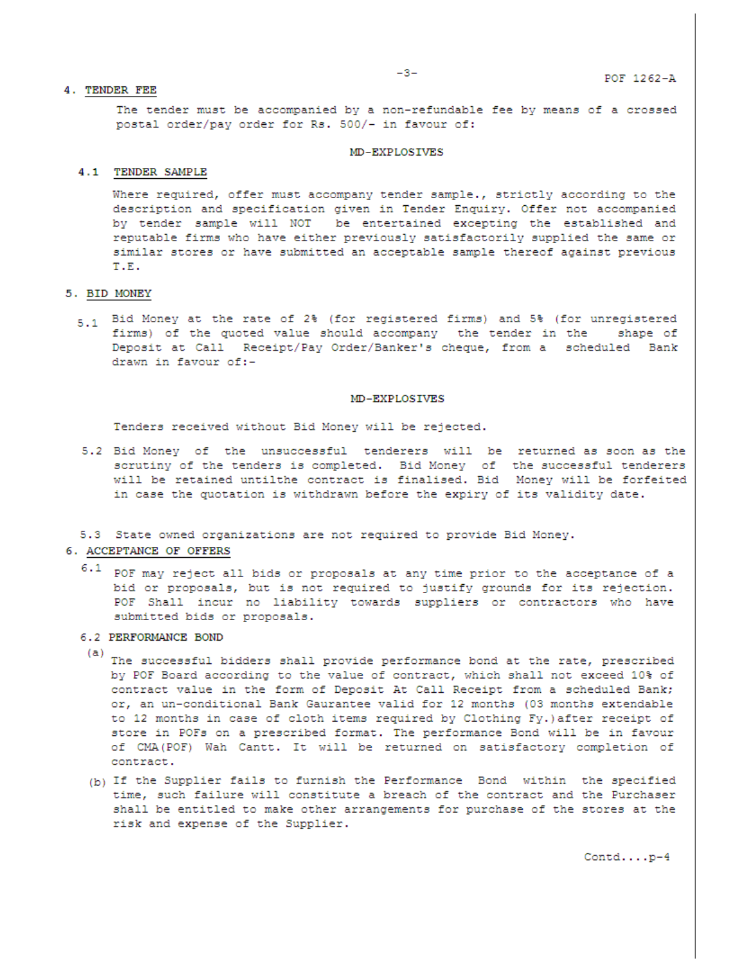The tender must be accompanied by a non-refundable fee by means of a crossed postal order/pay order for Rs. 500/- in favour of:

#### MD-EXPLOSIVES

#### 4.1 TENDER SAMPLE

Where required, offer must accompany tender sample., strictly according to the description and specification given in Tender Enquiry. Offer not accompanied by tender sample will NOT be entertained excepting the established and reputable firms who have either previously satisfactorily supplied the same or similar stores or have submitted an acceptable sample thereof against previous T.E.

#### 5. BID MONEY

5.1 Bid Money at the rate of 2% (for registered firms) and 5% (for unregistered firms) of the quoted value should accompany the tender in the shape of Deposit at Call Receipt/Pay Order/Banker's cheque, from a scheduled Bank drawn in favour of:-

#### MD-EXPLOSIVES

Tenders received without Bid Money will be rejected.

5.2 Bid Money of the unsuccessful tenderers will be returned as soon as the scrutiny of the tenders is completed. Bid Money of the successful tenderers will be retained untilthe contract is finalised. Bid Money will be forfeited in case the quotation is withdrawn before the expiry of its validity date.

#### 5.3 State owned organizations are not required to provide Bid Money.

### 6. ACCEPTANCE OF OFFERS

 $6.1$ POF may reject all bids or proposals at any time prior to the acceptance of a bid or proposals, but is not required to justify grounds for its rejection. POF Shall incur no liability towards suppliers or contractors who have submitted bids or proposals.

#### 6.2 PERFORMANCE BOND

- (a) The successful bidders shall provide performance bond at the rate, prescribed by POF Board according to the value of contract, which shall not exceed 10% of contract value in the form of Deposit At Call Receipt from a scheduled Bank; or, an un-conditional Bank Gaurantee valid for 12 months (03 months extendable to 12 months in case of cloth items required by Clothing Fy.) after receipt of store in POFs on a prescribed format. The performance Bond will be in favour of CMA(POF) Wah Cantt. It will be returned on satisfactory completion of contract.
- (b) If the Supplier fails to furnish the Performance Bond within the specified time, such failure will constitute a breach of the contract and the Purchaser shall be entitled to make other arrangements for purchase of the stores at the risk and expense of the Supplier.

 $\texttt{Control} \ldots \texttt{.p-4}$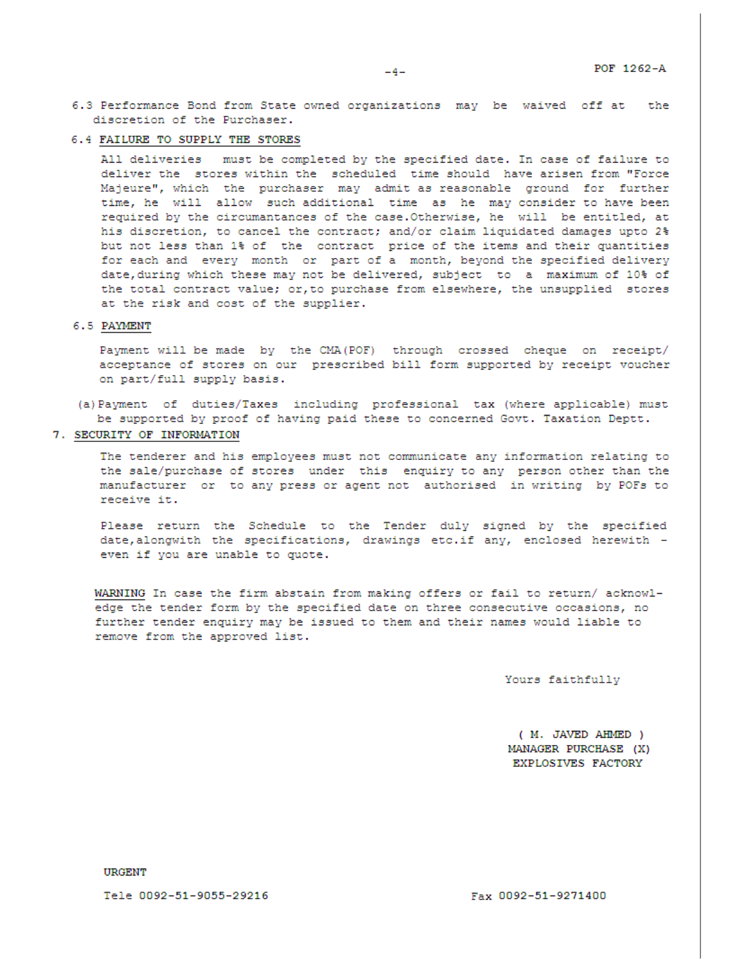- 6.3 Performance Bond from State owned organizations may be waived off at the discretion of the Purchaser.
- 6.4 FAILURE TO SUPPLY THE STORES

All deliveries must be completed by the specified date. In case of failure to deliver the stores within the scheduled time should have arisen from "Force Majeure", which the purchaser may admit as reasonable ground for further time, he will allow such additional time as he may consider to have been required by the circumantances of the case. Otherwise, he will be entitled, at his discretion, to cancel the contract; and/or claim liquidated damages upto 2% but not less than 1% of the contract price of the items and their quantities for each and every month or part of a month, beyond the specified delivery date, during which these may not be delivered, subject to a maximum of 10% of the total contract value; or, to purchase from elsewhere, the unsupplied stores at the risk and cost of the supplier.

#### 6.5 PAYMENT

Payment will be made by the CMA (POF) through crossed cheque on receipt/ acceptance of stores on our prescribed bill form supported by receipt voucher on part/full supply basis.

- (a) Payment of duties/Taxes including professional tax (where applicable) must be supported by proof of having paid these to concerned Govt. Taxation Deptt.
- 7. SECURITY OF INFORMATION

The tenderer and his employees must not communicate any information relating to the sale/purchase of stores under this enquiry to any person other than the manufacturer or to any press or agent not authorised in writing by POFs to receive it.

Please return the Schedule to the Tender duly signed by the specified date, alongwith the specifications, drawings etc.if any, enclosed herewith even if you are unable to quote.

WARNING In case the firm abstain from making offers or fail to return/ acknowledge the tender form by the specified date on three consecutive occasions, no further tender enquiry may be issued to them and their names would liable to remove from the approved list.

Yours faithfully

( M. JAVED AHMED ) MANAGER PURCHASE (X) EXPLOSIVES FACTORY

**URGENT** 

Tele 0092-51-9055-29216

Fax 0092-51-9271400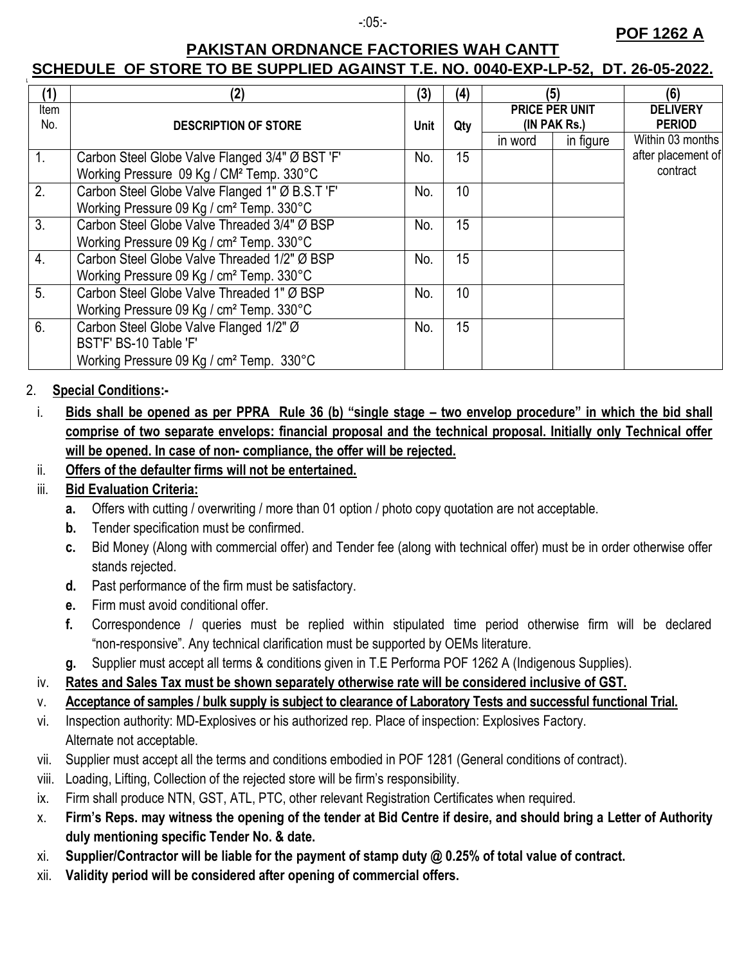### -:05:-

# **POF 1262 A**

# **PAKISTAN ORDNANCE FACTORIES WAH CANTT SCHEDULE OF STORE TO BE SUPPLIED AGAINST T.E. NO. 0040-EXP-LP-52, DT. 26-05-2022.**

| (1)              | (2)                                                  | (3)  | (4) | (5)                            |           | (6)                              |
|------------------|------------------------------------------------------|------|-----|--------------------------------|-----------|----------------------------------|
| Item<br>No.      | <b>DESCRIPTION OF STORE</b>                          | Unit | Qty | PRICE PER UNIT<br>(IN PAK Rs.) |           | <b>DELIVERY</b><br><b>PERIOD</b> |
|                  |                                                      |      |     | in word                        | in figure | Within 03 months                 |
| 1.               | Carbon Steel Globe Valve Flanged 3/4" Ø BST 'F'      | No.  | 15  |                                |           | after placement of               |
|                  | Working Pressure 09 Kg / CM <sup>2</sup> Temp. 330°C |      |     |                                |           | contract                         |
| 2.               | Carbon Steel Globe Valve Flanged 1" Ø B.S.T 'F'      | No.  | 10  |                                |           |                                  |
|                  | Working Pressure 09 Kg / cm <sup>2</sup> Temp. 330°C |      |     |                                |           |                                  |
| 3.               | Carbon Steel Globe Valve Threaded 3/4" Ø BSP         | No.  | 15  |                                |           |                                  |
|                  | Working Pressure 09 Kg / cm <sup>2</sup> Temp. 330°C |      |     |                                |           |                                  |
| $\overline{4}$ . | Carbon Steel Globe Valve Threaded 1/2" Ø BSP         | No.  | 15  |                                |           |                                  |
|                  | Working Pressure 09 Kg / cm <sup>2</sup> Temp. 330°C |      |     |                                |           |                                  |
| 5 <sub>1</sub>   | Carbon Steel Globe Valve Threaded 1" Ø BSP           | No.  | 10  |                                |           |                                  |
|                  | Working Pressure 09 Kg / cm <sup>2</sup> Temp. 330°C |      |     |                                |           |                                  |
| 6.               | Carbon Steel Globe Valve Flanged 1/2" Ø              | No.  | 15  |                                |           |                                  |
|                  | BST'F' BS-10 Table 'F'                               |      |     |                                |           |                                  |
|                  | Working Pressure 09 Kg / cm <sup>2</sup> Temp. 330°C |      |     |                                |           |                                  |

## 2. **Special Conditions:-**

- i. **Bids shall be opened as per PPRA Rule 36 (b) "single stage – two envelop procedure" in which the bid shall comprise of two separate envelops: financial proposal and the technical proposal. Initially only Technical offer will be opened. In case of non- compliance, the offer will be rejected.**
- ii. **Offers of the defaulter firms will not be entertained.**

# iii. **Bid Evaluation Criteria:**

- **a.** Offers with cutting / overwriting / more than 01 option / photo copy quotation are not acceptable.
- **b.** Tender specification must be confirmed.
- **c.** Bid Money (Along with commercial offer) and Tender fee (along with technical offer) must be in order otherwise offer stands rejected.
- **d.** Past performance of the firm must be satisfactory.
- **e.** Firm must avoid conditional offer.
- **f.** Correspondence / queries must be replied within stipulated time period otherwise firm will be declared "non-responsive". Any technical clarification must be supported by OEMs literature.
- **g.** Supplier must accept all terms & conditions given in T.E Performa POF 1262 A (Indigenous Supplies).

# iv. **Rates and Sales Tax must be shown separately otherwise rate will be considered inclusive of GST.**

v. **Acceptance of samples / bulk supply is subject to clearance of Laboratory Tests and successful functional Trial.** 

- vi. Inspection authority: MD-Explosives or his authorized rep. Place of inspection: Explosives Factory. Alternate not acceptable.
- vii. Supplier must accept all the terms and conditions embodied in POF 1281 (General conditions of contract).
- viii. Loading, Lifting, Collection of the rejected store will be firm's responsibility.
- ix. Firm shall produce NTN, GST, ATL, PTC, other relevant Registration Certificates when required.
- x. **Firm's Reps. may witness the opening of the tender at Bid Centre if desire, and should bring a Letter of Authority duly mentioning specific Tender No. & date.**
- xi. **Supplier/Contractor will be liable for the payment of stamp duty @ 0.25% of total value of contract.**
- xii. **Validity period will be considered after opening of commercial offers.**